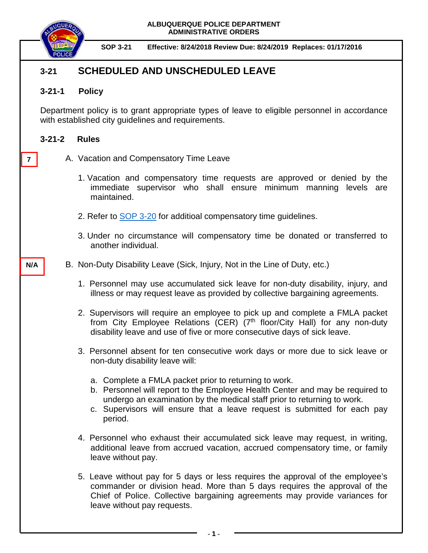

**7**

**N/A**

**SOP 3-21 Effective: 8/24/2018 Review Due: 8/24/2019 Replaces: 01/17/2016** 

# **3-21 SCHEDULED AND UNSCHEDULED LEAVE**

## **3-21-1 Policy**

Department policy is to grant appropriate types of leave to eligible personnel in accordance with established city guidelines and requirements.

## **3-21-2 Rules**

- A. Vacation and Compensatory Time Leave
	- 1. Vacation and compensatory time requests are approved or denied by the immediate supervisor who shall ensure minimum manning levels are maintained.
	- 2. Refer to [SOP 3-20](https://powerdms.com/link/IDS/document/?id=34) for additioal compensatory time guidelines.
	- 3. Under no circumstance will compensatory time be donated or transferred to another individual.

## B. Non-Duty Disability Leave (Sick, Injury, Not in the Line of Duty, etc.)

- 1. Personnel may use accumulated sick leave for non-duty disability, injury, and illness or may request leave as provided by collective bargaining agreements.
- 2. Supervisors will require an employee to pick up and complete a FMLA packet from City Employee Relations (CER) (7<sup>th</sup> floor/City Hall) for any non-duty disability leave and use of five or more consecutive days of sick leave.
- 3. Personnel absent for ten consecutive work days or more due to sick leave or non-duty disability leave will:
	- a. Complete a FMLA packet prior to returning to work.
	- b. Personnel will report to the Employee Health Center and may be required to undergo an examination by the medical staff prior to returning to work.
	- c. Supervisors will ensure that a leave request is submitted for each pay period.
- 4. Personnel who exhaust their accumulated sick leave may request, in writing, additional leave from accrued vacation, accrued compensatory time, or family leave without pay.
- 5. Leave without pay for 5 days or less requires the approval of the employee's commander or division head. More than 5 days requires the approval of the Chief of Police. Collective bargaining agreements may provide variances for leave without pay requests.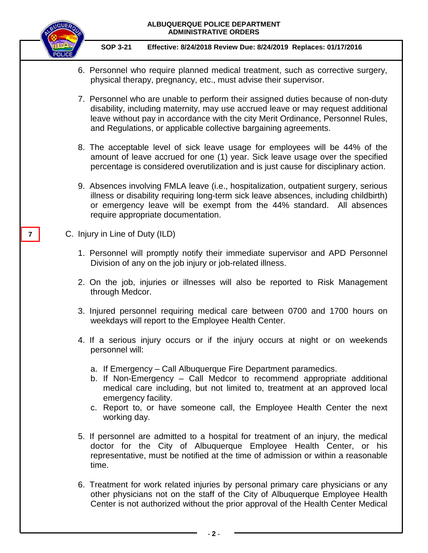

**7**

## **SOP 3-21 Effective: 8/24/2018 Review Due: 8/24/2019 Replaces: 01/17/2016**

- 6. Personnel who require planned medical treatment, such as corrective surgery, physical therapy, pregnancy, etc., must advise their supervisor.
- 7. Personnel who are unable to perform their assigned duties because of non-duty disability, including maternity, may use accrued leave or may request additional leave without pay in accordance with the city Merit Ordinance, Personnel Rules, and Regulations, or applicable collective bargaining agreements.
- 8. The acceptable level of sick leave usage for employees will be 44% of the amount of leave accrued for one (1) year. Sick leave usage over the specified percentage is considered overutilization and is just cause for disciplinary action.
- 9. Absences involving FMLA leave (i.e., hospitalization, outpatient surgery, serious illness or disability requiring long-term sick leave absences, including childbirth) or emergency leave will be exempt from the 44% standard. All absences require appropriate documentation.
- C. Injury in Line of Duty (ILD)
	- 1. Personnel will promptly notify their immediate supervisor and APD Personnel Division of any on the job injury or job-related illness.
	- 2. On the job, injuries or illnesses will also be reported to Risk Management through Medcor.
	- 3. Injured personnel requiring medical care between 0700 and 1700 hours on weekdays will report to the Employee Health Center.
	- 4. If a serious injury occurs or if the injury occurs at night or on weekends personnel will:
		- a. If Emergency Call Albuquerque Fire Department paramedics.
		- b. If Non-Emergency Call Medcor to recommend appropriate additional medical care including, but not limited to, treatment at an approved local emergency facility.
		- c. Report to, or have someone call, the Employee Health Center the next working day.
	- 5. If personnel are admitted to a hospital for treatment of an injury, the medical doctor for the City of Albuquerque Employee Health Center, or his representative, must be notified at the time of admission or within a reasonable time.
	- 6. Treatment for work related injuries by personal primary care physicians or any other physicians not on the staff of the City of Albuquerque Employee Health Center is not authorized without the prior approval of the Health Center Medical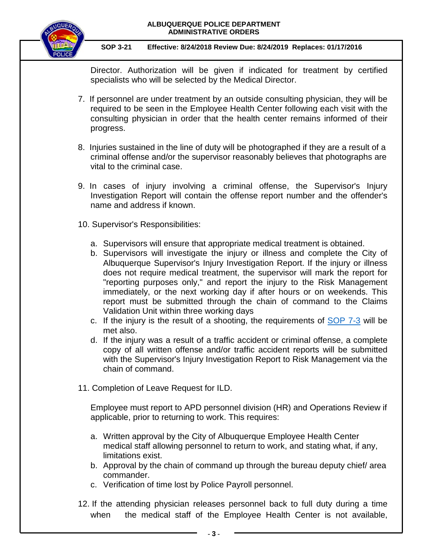

## **SOP 3-21 Effective: 8/24/2018 Review Due: 8/24/2019 Replaces: 01/17/2016**

Director. Authorization will be given if indicated for treatment by certified specialists who will be selected by the Medical Director.

- 7. If personnel are under treatment by an outside consulting physician, they will be required to be seen in the Employee Health Center following each visit with the consulting physician in order that the health center remains informed of their progress.
- 8. Injuries sustained in the line of duty will be photographed if they are a result of a criminal offense and/or the supervisor reasonably believes that photographs are vital to the criminal case.
- 9. In cases of injury involving a criminal offense, the Supervisor's Injury Investigation Report will contain the offense report number and the offender's name and address if known.
- 10. Supervisor's Responsibilities:
	- a. Supervisors will ensure that appropriate medical treatment is obtained.
	- b. Supervisors will investigate the injury or illness and complete the City of Albuquerque Supervisor's Injury Investigation Report. If the injury or illness does not require medical treatment, the supervisor will mark the report for "reporting purposes only," and report the injury to the Risk Management immediately, or the next working day if after hours or on weekends. This report must be submitted through the chain of command to the Claims Validation Unit within three working days
	- c. If the injury is the result of a shooting, the requirements of [SOP 7-3](https://powerdms.com/link/IDS/document/?id=863583) will be met also.
	- d. If the injury was a result of a traffic accident or criminal offense, a complete copy of all written offense and/or traffic accident reports will be submitted with the Supervisor's Injury Investigation Report to Risk Management via the chain of command.
- 11. Completion of Leave Request for ILD.

Employee must report to APD personnel division (HR) and Operations Review if applicable, prior to returning to work. This requires:

- a. Written approval by the City of Albuquerque Employee Health Center medical staff allowing personnel to return to work, and stating what, if any, limitations exist.
- b. Approval by the chain of command up through the bureau deputy chief/ area commander.
- c. Verification of time lost by Police Payroll personnel.
- 12. If the attending physician releases personnel back to full duty during a time when the medical staff of the Employee Health Center is not available,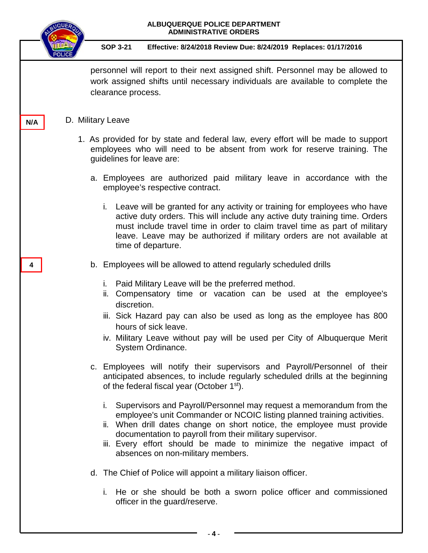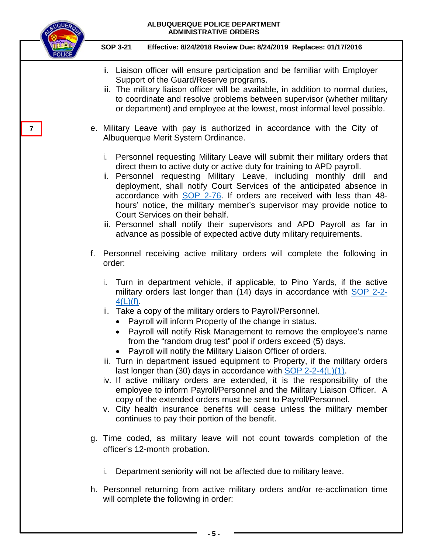

**- 5 -**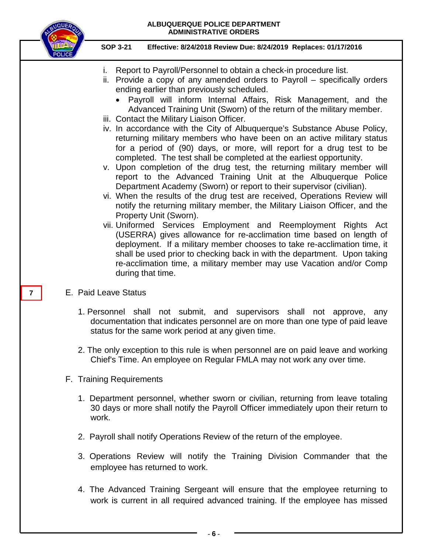

### **SOP 3-21 Effective: 8/24/2018 Review Due: 8/24/2019 Replaces: 01/17/2016**

- i. Report to Payroll/Personnel to obtain a check-in procedure list.
- ii. Provide a copy of any amended orders to Payroll specifically orders ending earlier than previously scheduled.
	- Payroll will inform Internal Affairs, Risk Management, and the Advanced Training Unit (Sworn) of the return of the military member.
- iii. Contact the Military Liaison Officer.
- iv. In accordance with the City of Albuquerque's Substance Abuse Policy, returning military members who have been on an active military status for a period of (90) days, or more, will report for a drug test to be completed. The test shall be completed at the earliest opportunity.
- v. Upon completion of the drug test, the returning military member will report to the Advanced Training Unit at the Albuquerque Police Department Academy (Sworn) or report to their supervisor (civilian).
- vi. When the results of the drug test are received, Operations Review will notify the returning military member, the Military Liaison Officer, and the Property Unit (Sworn).
- vii. Uniformed Services Employment and Reemployment Rights Act (USERRA) gives allowance for re-acclimation time based on length of deployment. If a military member chooses to take re-acclimation time, it shall be used prior to checking back in with the department. Upon taking re-acclimation time, a military member may use Vacation and/or Comp during that time.
- E. Paid Leave Status
	- 1. Personnel shall not submit, and supervisors shall not approve, any documentation that indicates personnel are on more than one type of paid leave status for the same work period at any given time.
	- 2. The only exception to this rule is when personnel are on paid leave and working Chief's Time. An employee on Regular FMLA may not work any over time.
- F. Training Requirements
	- 1. Department personnel, whether sworn or civilian, returning from leave totaling 30 days or more shall notify the Payroll Officer immediately upon their return to work.
	- 2. Payroll shall notify Operations Review of the return of the employee.
	- 3. Operations Review will notify the Training Division Commander that the employee has returned to work.
	- 4. The Advanced Training Sergeant will ensure that the employee returning to work is current in all required advanced training. If the employee has missed

**7**